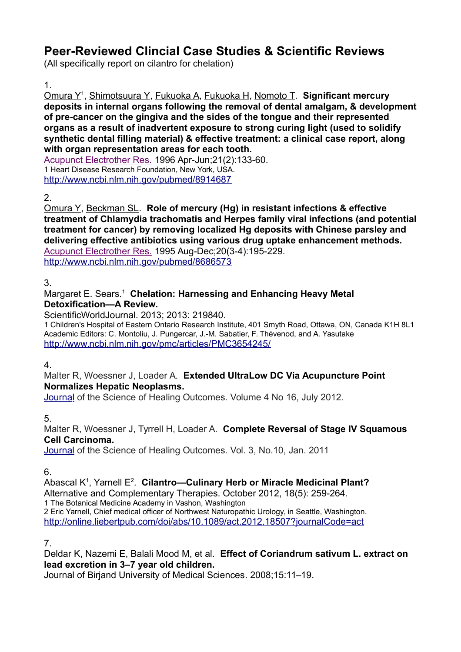# **Peer-Reviewed Clincial Case Studies & Scientific Reviews**

(All specifically report on cilantro for chelation)

#### 1.

Omura Y<sup>1</sup> , Shimotsuura Y, Fukuoka A, Fukuoka H, Nomoto T. **Significant mercury deposits in internal organs following the removal of dental amalgam, & development of pre-cancer on the gingiva and the sides of the tongue and their represented organs as a result of inadvertent exposure to strong curing light (used to solidify synthetic dental filling material) & effective treatment: a clinical case report, along with organ representation areas for each tooth.**

[Acupunct Electrother Res.](http://www.ncbi.nlm.nih.gov/pubmed/8914687#) 1996 Apr-Jun;21(2):133-60. 1 Heart Disease Research Foundation, New York, USA. <http://www.ncbi.nlm.nih.gov/pubmed/8914687>

## 2.

Omura Y, Beckman SL. **Role of mercury (Hg) in resistant infections & effective treatment of Chlamydia trachomatis and Herpes family viral infections (and potential treatment for cancer) by removing localized Hg deposits with Chinese parsley and delivering effective antibiotics using various drug uptake enhancement methods.** [Acupunct Electrother Res.](http://www.ncbi.nlm.nih.gov/pubmed/8686573#) 1995 Aug-Dec;20(3-4):195-229. <http://www.ncbi.nlm.nih.gov/pubmed/8686573>

## 3.

#### Margaret E. Sears.<sup>1</sup> Chelation: Harnessing and Enhancing Heavy Metal **Detoxification—A Review.**

ScientificWorldJournal. 2013; 2013: 219840.

1 Children's Hospital of Eastern Ontario Research Institute, 401 Smyth Road, Ottawa, ON, Canada K1H 8L1 Academic Editors: C. Montoliu, J. Pungercar, J.-M. Sabatier, F. Thévenod, and A. Yasutake <http://www.ncbi.nlm.nih.gov/pmc/articles/PMC3654245/>

#### 4.

#### Malter R, Woessner J, Loader A. **Extended UltraLow DC Via Acupuncture Point Normalizes Hepatic Neoplasms.**

 [Journal](http://thejsho.com/editboard.aspx) of the Science of Healing Outcomes. Volume 4 No 16, July 2012.

5.

Malter R, Woessner J, Tyrrell H, Loader A. **Complete Reversal of Stage IV Squamous Cell Carcinoma.** 

[Journal](http://thejsho.com/editboard.aspx) of the Science of Healing Outcomes. Vol. 3, No.10, Jan. 2011

6.

Abascal K<sup>1</sup>, Yarnell E<sup>2</sup>. Cilantro—Culinary Herb or Miracle Medicinal Plant? Alternative and Complementary Therapies. October 2012, 18(5): 259-264. 1 The Botanical Medicine Academy in Vashon, Washington

2 Eric Yarnell, Chief medical officer of Northwest Naturopathic Urology, in Seattle, Washington. <http://online.liebertpub.com/doi/abs/10.1089/act.2012.18507?journalCode=act>

7.

Deldar K, Nazemi E, Balali Mood M, et al. **Effect of Coriandrum sativum L. extract on lead excretion in 3–7 year old children.**

Journal of Birjand University of Medical Sciences. 2008;15:11–19.